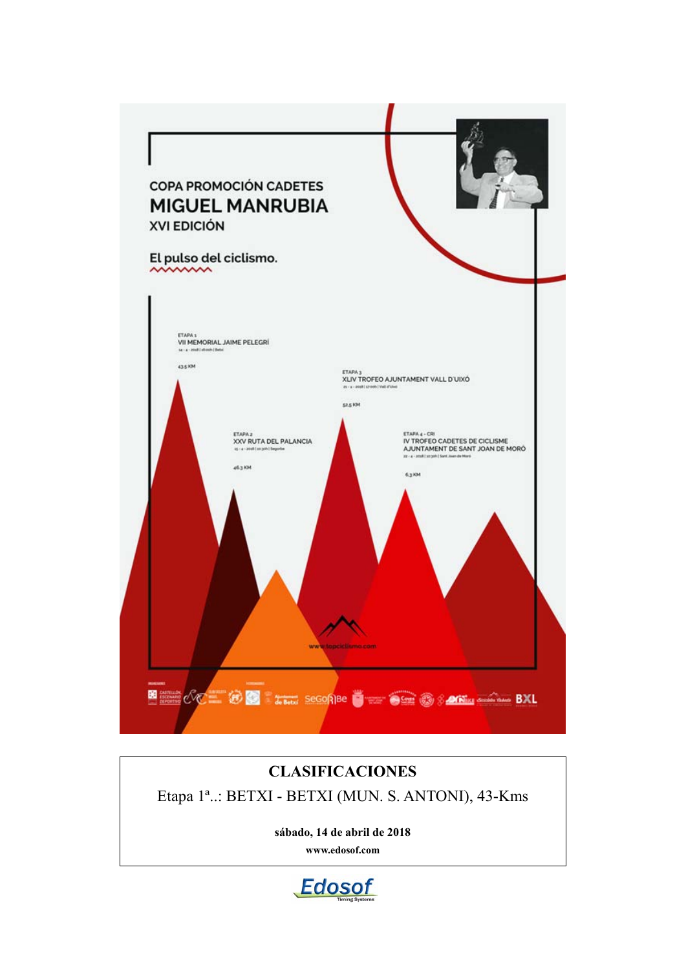

# **CLASIFICACIONES**

Etapa 1ª..: BETXI - BETXI (MUN. S. ANTONI), 43-Kms

**sábado, 14 de abril de 2018 www.edosof.com**

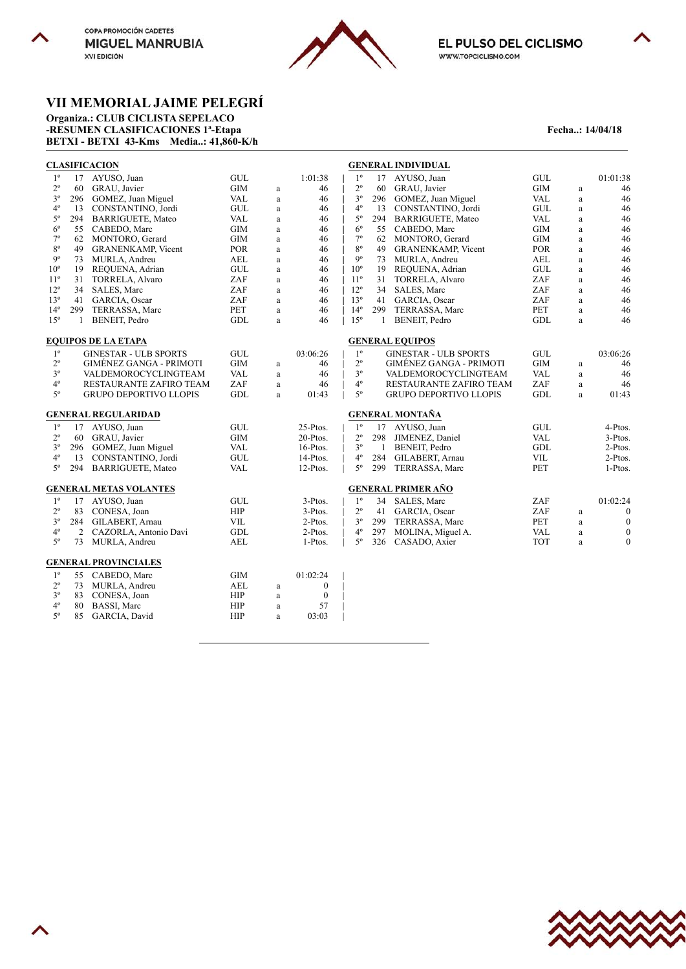



EL PULSO DEL CICLISMO WWW.TOPCICLISMO.COM

# **VII MEMORIAL JAIME PELEGRÍ**

**Organiza.: CLUB CICLISTA SEPELACO -RESUMEN CLASIFICACIONES 1ª-Etapa Fecha..: 14/04/18 BETXI - BETXI 43-Kms Media..: 41,860-K/h**

|                 |     | <b>CLASIFICACION</b>           |                             |          |                  |              |              | <b>GENERAL INDIVIDUAL</b>      |                             |              |                  |
|-----------------|-----|--------------------------------|-----------------------------|----------|------------------|--------------|--------------|--------------------------------|-----------------------------|--------------|------------------|
| 1 <sup>0</sup>  | 17  | AYUSO, Juan                    | GUL                         |          | 1:01:38          | $1^{\circ}$  | 17           | AYUSO, Juan                    | $\operatorname{GUL}$        |              | 01:01:38         |
| $2^{\circ}$     | 60  | GRAU, Javier                   | <b>GIM</b>                  | $\rm{a}$ | 46               | $2^{\circ}$  | 60           | GRAU, Javier                   | <b>GIM</b>                  | $\mathbf{a}$ | 46               |
| $3^{\circ}$     | 296 | GOMEZ, Juan Miguel             | VAL                         | $\rm{a}$ | 46               | $3^{\circ}$  |              | 296 GOMEZ, Juan Miguel         | VAL                         | $\mathbf{a}$ | 46               |
| $4^{\circ}$     | 13  | CONSTANTINO, Jordi             | GUL                         | $\rm{a}$ | 46               | $4^{\circ}$  | 13           | CONSTANTINO, Jordi             | GUL                         | a            | 46               |
| $5^{\circ}$     | 294 | <b>BARRIGUETE, Mateo</b>       | VAL                         | $\rm{a}$ | 46               | $5^{\circ}$  | 294          | <b>BARRIGUETE, Mateo</b>       | VAL                         | $\mathbf{a}$ | 46               |
| $6^{\circ}$     | 55  | CABEDO, Marc                   | <b>GIM</b>                  | $\rm{a}$ | 46               | $6^{\circ}$  | 55           | CABEDO, Marc                   | <b>GIM</b>                  | $\rm{a}$     | 46               |
| $7^{\circ}$     | 62  | MONTORO, Gerard                | GIM                         | $\rm{a}$ | 46               | $7^{\circ}$  | 62           | MONTORO, Gerard                | <b>GIM</b>                  | $\rm{a}$     | 46               |
| $8^{\circ}$     | 49  | <b>GRANENKAMP, Vicent</b>      | <b>POR</b>                  | $\rm{a}$ | 46               | $8^{\circ}$  | 49           | <b>GRANENKAMP, Vicent</b>      | <b>POR</b>                  | $\rm{a}$     | 46               |
| $9^{\circ}$     | 73  | MURLA, Andreu                  | AEL                         | $\rm{a}$ | 46               | $9^{\circ}$  |              | 73 MURLA, Andreu               | AEL                         | $\mathbf{a}$ | 46               |
| $10^{\circ}$    | 19  | REQUENA, Adrian                | GUL                         | a        | 46               | $10^{\circ}$ | 19           | REQUENA, Adrian                | GUL                         | $\mathbf{a}$ | 46               |
| $11^{\circ}$    | 31  | TORRELA, Alvaro                | ZAF                         | $\rm{a}$ | 46               | $11^{\circ}$ | 31           | <b>TORRELA, Alvaro</b>         | ZAF                         | $\rm{a}$     | 46               |
| $12^{\circ}$    | 34  | SALES, Marc                    | ZAF                         | $\rm{a}$ | 46               | $12^{\circ}$ | 34           | SALES, Marc                    | ZAF                         | $\mathbf{a}$ | 46               |
| 13 <sup>°</sup> | 41  | GARCIA, Oscar                  | ZAF                         | $\rm{a}$ | 46               | $13^{\circ}$ |              | 41 GARCIA, Oscar               | ZAF                         | $\mathbf{a}$ | 46               |
| $14^{\circ}$    | 299 | TERRASSA, Marc                 | PET                         | $\rm{a}$ | 46               | $14^{\circ}$ | 299          | TERRASSA, Marc                 | PET                         | $\mathbf{a}$ | 46               |
| $15^{\circ}$    | 1   | BENEIT, Pedro                  | GDL                         | $\rm{a}$ | 46               | $15^{\circ}$ | 1            | BENEIT, Pedro                  | GDL                         | $\mathbf{a}$ | 46               |
|                 |     | <b>EQUIPOS DE LA ETAPA</b>     |                             |          |                  |              |              | <b>GENERAL EQUIPOS</b>         |                             |              |                  |
| $1^{\circ}$     |     | <b>GINESTAR - ULB SPORTS</b>   | $\ensuremath{\mathsf{GUL}}$ |          | 03:06:26         | $1^{\circ}$  |              | <b>GINESTAR - ULB SPORTS</b>   | $\operatorname{GUL}$        |              | 03:06:26         |
| $2^{\circ}$     |     | <b>GIMENEZ GANGA - PRIMOTI</b> | <b>GIM</b>                  | a        | 46               | $2^{\circ}$  |              | <b>GIMÉNEZ GANGA - PRIMOTI</b> | <b>GIM</b>                  | a            | 46               |
| $3^{\circ}$     |     | VALDEMOROCYCLINGTEAM           | <b>VAL</b>                  | a        | 46               | $3^{\circ}$  |              | VALDEMOROCYCLINGTEAM           | <b>VAL</b>                  | $\mathbf{a}$ | 46               |
| $4^{\circ}$     |     | RESTAURANTE ZAFIRO TEAM        | ZAF                         | $\rm{a}$ | 46               | $4^{\circ}$  |              | RESTAURANTE ZAFIRO TEAM        | ZAF                         | $\mathbf{a}$ | 46               |
| $5^{\circ}$     |     | <b>GRUPO DEPORTIVO LLOPIS</b>  | GDL                         | a        | 01:43            | $5^{\circ}$  |              | GRUPO DEPORTIVO LLOPIS         | GDL                         | $\mathbf{a}$ | 01:43            |
|                 |     | <b>GENERAL REGULARIDAD</b>     |                             |          |                  |              |              | <b>GENERAL MONTAÑA</b>         |                             |              |                  |
| $1^{\circ}$     | 17  | AYUSO, Juan                    | GUL                         |          | 25-Ptos.         | $1^{\circ}$  |              | 17 AYUSO, Juan                 | $\ensuremath{\mathsf{GUL}}$ |              | 4-Ptos.          |
| $2^{\circ}$     | 60  | GRAU, Javier                   | GIM                         |          | 20-Ptos.         | $2^{\circ}$  | 298          | JIMENEZ, Daniel                | <b>VAL</b>                  |              | 3-Ptos.          |
| $3^{\circ}$     | 296 | GOMEZ, Juan Miguel             | <b>VAL</b>                  |          | 16-Ptos.         | $3^{\circ}$  | $\mathbf{1}$ | BENEIT, Pedro                  | GDL                         |              | 2-Ptos.          |
| $4^{\circ}$     | 13  | CONSTANTINO, Jordi             | GUL                         |          | 14-Ptos.         | $4^{\circ}$  | 284          | GILABERT, Arnau                | <b>VIL</b>                  |              | 2-Ptos.          |
| $5^{\circ}$     | 294 | <b>BARRIGUETE, Mateo</b>       | <b>VAL</b>                  |          | 12-Ptos.         | $5^{\circ}$  | 299          | TERRASSA, Marc                 | PET                         |              | 1-Ptos.          |
|                 |     | <b>GENERAL METAS VOLANTES</b>  |                             |          |                  |              |              | <b>GENERAL PRIMER AÑO</b>      |                             |              |                  |
| $1^{\circ}$     | 17  | AYUSO, Juan                    | GUL                         |          | $3-P$ tos.       | $1^{\circ}$  | 34           | SALES, Marc                    | ZAF                         |              | 01:02:24         |
| $2^{\circ}$     | 83  | CONESA, Joan                   | HIP                         |          | 3-Ptos.          | $2^{\circ}$  | 41           | GARCIA, Oscar                  | ZAF                         | $\mathbf{a}$ | $\boldsymbol{0}$ |
| $3^{\circ}$     | 284 | GILABERT, Arnau                | <b>VIL</b>                  |          | 2-Ptos.          | $3^{\circ}$  | 299          | TERRASSA, Marc                 | PET                         | $\mathbf{a}$ | $\boldsymbol{0}$ |
| $4^{\circ}$     | 2   | CAZORLA, Antonio Davi          | GDL                         |          | 2-Ptos.          | $4^{\circ}$  | 297          | MOLINA, Miguel A.              | <b>VAL</b>                  | $\mathbf{a}$ | $\boldsymbol{0}$ |
| $5^{\circ}$     | 73  | MURLA, Andreu                  | AEL                         |          | 1-Ptos.          | $5^\circ$    | 326          | CASADO, Axier                  | <b>TOT</b>                  | $\mathbf{a}$ | $\overline{0}$   |
|                 |     | <b>GENERAL PROVINCIALES</b>    |                             |          |                  |              |              |                                |                             |              |                  |
| $1^{\circ}$     | 55  | CABEDO, Marc                   | <b>GIM</b>                  |          | 01:02:24         |              |              |                                |                             |              |                  |
| $2^{\circ}$     | 73  | MURLA, Andreu                  | <b>AEL</b>                  | $\rm{a}$ | $\boldsymbol{0}$ |              |              |                                |                             |              |                  |
| $3^{\circ}$     | 83  | CONESA, Joan                   | HIP                         | a        | $\boldsymbol{0}$ |              |              |                                |                             |              |                  |
| $4^{\circ}$     | 80  | BASSI, Marc                    | HIP                         | $\rm{a}$ | 57               |              |              |                                |                             |              |                  |
| $5^{\circ}$     | 85  | GARCIA, David                  | HIP                         | a        | 03:03            |              |              |                                |                             |              |                  |
|                 |     |                                |                             |          |                  |              |              |                                |                             |              |                  |



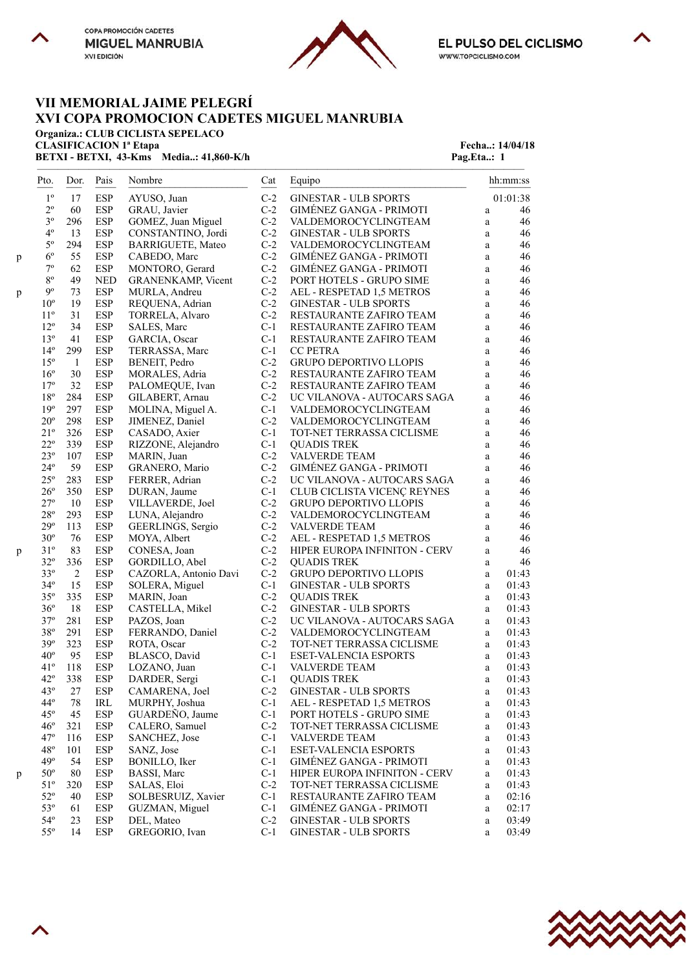



 $\overline{\phantom{a}}$ 

# **VII MEMORIAL JAIME PELEGRÍ XVI COPA PROMOCION CADETES MIGUEL MANRUBIA**

**Organiza.: CLUB CICLISTA SEPELACO**

**BETXI - BETXI, 43-Kms** Media..: 41,860-K/h Pag.Eta..: 1

**CLASIFICACION 1ª Etapa** Fecha..: 14/04/18

|   | Pto.         | Dor.   | Pais       | Nombre                | Cat   | Equipo                         |              | hh:mm:ss |
|---|--------------|--------|------------|-----------------------|-------|--------------------------------|--------------|----------|
|   | $1^{\circ}$  | 17     | ESP        | AYUSO, Juan           | $C-2$ | <b>GINESTAR - ULB SPORTS</b>   |              | 01:01:38 |
|   | $2^{\circ}$  | 60     | ESP        | GRAU, Javier          | $C-2$ | GIMÉNEZ GANGA - PRIMOTI        | $\rm{a}$     | 46       |
|   | $3^{\circ}$  | 296    | <b>ESP</b> | GOMEZ, Juan Miguel    | $C-2$ | VALDEMOROCYCLINGTEAM           | a            | 46       |
|   | $4^{\circ}$  | 13     | <b>ESP</b> | CONSTANTINO, Jordi    | $C-2$ | <b>GINESTAR - ULB SPORTS</b>   | a            | 46       |
|   | $5^{\circ}$  | 294    | <b>ESP</b> | BARRIGUETE, Mateo     | $C-2$ | VALDEMOROCYCLINGTEAM           | a            | 46       |
| p | $6^{\circ}$  | 55     | ESP        | CABEDO, Marc          | $C-2$ | GIMÉNEZ GANGA - PRIMOTI        | a            | 46       |
|   | $7^{\circ}$  | 62     | ESP        | MONTORO, Gerard       | $C-2$ | GIMÉNEZ GANGA - PRIMOTI        | a            | 46       |
|   | $8^{\circ}$  | 49     | <b>NED</b> | GRANENKAMP, Vicent    | $C-2$ | PORT HOTELS - GRUPO SIME       | a            | 46       |
| p | $9^{\circ}$  | 73     | <b>ESP</b> | MURLA, Andreu         | $C-2$ | AEL - RESPETAD 1,5 METROS      | a            | 46       |
|   | $10^{\circ}$ | 19     | <b>ESP</b> | REQUENA, Adrian       | $C-2$ | <b>GINESTAR - ULB SPORTS</b>   | a            | 46       |
|   | $11^{\circ}$ | 31     | ESP        | TORRELA, Alvaro       | $C-2$ | RESTAURANTE ZAFIRO TEAM        | a            | 46       |
|   | $12^{\circ}$ | 34     | ESP        | SALES, Marc           | $C-1$ | RESTAURANTE ZAFIRO TEAM        | a            | 46       |
|   | $13^{\circ}$ | 41     | <b>ESP</b> | GARCIA, Oscar         | $C-1$ | RESTAURANTE ZAFIRO TEAM        | a            | 46       |
|   | $14^{\circ}$ | 299    | ESP        | TERRASSA, Marc        | $C-1$ | <b>CC PETRA</b>                | a            | 46       |
|   | $15^{\circ}$ | -1     | <b>ESP</b> | BENEIT, Pedro         | $C-2$ | GRUPO DEPORTIVO LLOPIS         | a            | 46       |
|   | $16^{\circ}$ | 30     | ESP        | MORALES, Adria        | $C-2$ | RESTAURANTE ZAFIRO TEAM        | a            | 46       |
|   | $17^{\circ}$ | 32     | ESP        | PALOMEQUE, Ivan       | $C-2$ | RESTAURANTE ZAFIRO TEAM        | a            | 46       |
|   | $18^{\circ}$ | 284    | <b>ESP</b> | GILABERT, Arnau       | $C-2$ | UC VILANOVA - AUTOCARS SAGA    | a            | 46       |
|   | $19^{\circ}$ | 297    | <b>ESP</b> | MOLINA, Miguel A.     | $C-1$ | VALDEMOROCYCLINGTEAM           | a            | 46       |
|   | $20^{\circ}$ | 298    | <b>ESP</b> | JIMENEZ, Daniel       | $C-2$ | VALDEMOROCYCLINGTEAM           | a            | 46       |
|   | $21^{\circ}$ | 326    | ESP        | CASADO, Axier         | $C-1$ | TOT-NET TERRASSA CICLISME      | a            | 46       |
|   | $22^{\circ}$ | 339    | <b>ESP</b> | RIZZONE, Alejandro    | $C-1$ | <b>QUADIS TREK</b>             | a            | 46       |
|   | $23^{\circ}$ | 107    | ESP        | MARIN, Juan           | $C-2$ | VALVERDE TEAM                  | $\rm{a}$     | 46       |
|   | $24^{\circ}$ | 59     | ESP        | GRANERO, Mario        | $C-2$ | GIMÉNEZ GANGA - PRIMOTI        | $\mathbf{a}$ | 46       |
|   | $25^{\circ}$ | 283    | <b>ESP</b> | FERRER, Adrian        | $C-2$ | UC VILANOVA - AUTOCARS SAGA    | a            | 46       |
|   | $26^{\circ}$ | 350    | ESP        | DURAN, Jaume          | $C-1$ | CLUB CICLISTA VICENÇ REYNES    | a            | 46       |
|   | $27^{\circ}$ | 10     | ESP        | VILLAVERDE, Joel      | $C-2$ | GRUPO DEPORTIVO LLOPIS         | a            | 46       |
|   | $28^{\rm o}$ | 293    | ESP        | LUNA, Alejandro       | $C-2$ | VALDEMOROCYCLINGTEAM           | a            | 46       |
|   | $29^{\circ}$ | 113    | ESP        | GEERLINGS, Sergio     | $C-2$ | <b>VALVERDE TEAM</b>           | a            | 46       |
|   | $30^{\circ}$ | 76     | <b>ESP</b> | MOYA, Albert          | $C-2$ | AEL - RESPETAD 1,5 METROS      | a            | 46       |
| p | $31^{\circ}$ | 83     | ESP        | CONESA, Joan          | $C-2$ | HIPER EUROPA INFINITON - CERV  | a            | 46       |
|   | $32^{\circ}$ | 336    | ESP        | GORDILLO, Abel        | $C-2$ | <b>QUADIS TREK</b>             | a            | 46       |
|   | $33^{\circ}$ | 2      | <b>ESP</b> | CAZORLA, Antonio Davi | $C-2$ | <b>GRUPO DEPORTIVO LLOPIS</b>  | a            | 01:43    |
|   | $34^\circ$   | 15     | ESP        | SOLERA, Miguel        | $C-1$ | <b>GINESTAR - ULB SPORTS</b>   | $\mathbf{a}$ | 01:43    |
|   | $35^{\circ}$ | 335    | <b>ESP</b> | MARIN, Joan           | $C-2$ | <b>QUADIS TREK</b>             | a            | 01:43    |
|   | $36^{\circ}$ | 18     | ESP        | CASTELLA, Mikel       | $C-2$ | <b>GINESTAR - ULB SPORTS</b>   | a            | 01:43    |
|   | $37^{\circ}$ | 281    | ESP        | PAZOS, Joan           | $C-2$ | UC VILANOVA - AUTOCARS SAGA    | a            | 01:43    |
|   | $38^{\rm o}$ | 291    | ESP        | FERRANDO, Daniel      | $C-2$ | VALDEMOROCYCLINGTEAM           | a            | 01:43    |
|   | 39°          | 323    | <b>ESP</b> | ROTA, Oscar           | $C-2$ | TOT-NET TERRASSA CICLISME      | a            | 01:43    |
|   | $40^{\circ}$ | 95     | ESP        | BLASCO, David         | $C-1$ | <b>ESET-VALENCIA ESPORTS</b>   | a            | 01:43    |
|   | $41^{\circ}$ | 118    | ESP        | LOZANO, Juan          | $C-1$ | <b>VALVERDE TEAM</b>           | a            | 01:43    |
|   | $42^{\circ}$ | 338    | <b>ESP</b> | DARDER, Sergi         | $C-1$ | <b>QUADIS TREK</b>             | a            | 01:43    |
|   | $43^{\circ}$ | $27\,$ | <b>ESP</b> | CAMARENA, Joel        | $C-2$ | <b>GINESTAR - ULB SPORTS</b>   | a            | 01:43    |
|   | $44^\circ$   | 78     | IRL        | MURPHY, Joshua        | $C-1$ | AEL - RESPETAD 1,5 METROS      | a            | 01:43    |
|   | $45^{\circ}$ | 45     | ESP        | GUARDEÑO, Jaume       | $C-1$ | PORT HOTELS - GRUPO SIME       | a            | 01:43    |
|   | $46^{\circ}$ | 321    | <b>ESP</b> | CALERO, Samuel        | $C-2$ | TOT-NET TERRASSA CICLISME      | $\rm{a}$     | 01:43    |
|   | $47^\circ$   | 116    | ESP        | SANCHEZ, Jose         | $C-1$ | VALVERDE TEAM                  | a            | 01:43    |
|   | $48^{\circ}$ | 101    | <b>ESP</b> | SANZ, Jose            | $C-1$ | ESET-VALENCIA ESPORTS          | $\rm{a}$     | 01:43    |
|   | $49^\circ$   | 54     | <b>ESP</b> | BONILLO, Iker         | $C-1$ | GIMÉNEZ GANGA - PRIMOTI        | a            | 01:43    |
| p | $50^{\circ}$ | 80     | ESP        | BASSI, Marc           | $C-1$ | HIPER EUROPA INFINITON - CERV  | $\rm{a}$     | 01:43    |
|   | $51^{\circ}$ | 320    | <b>ESP</b> | SALAS, Eloi           | $C-2$ | TOT-NET TERRASSA CICLISME      | a            | 01:43    |
|   | $52^{\circ}$ | 40     | ESP        | SOLBESRUIZ, Xavier    | $C-1$ | RESTAURANTE ZAFIRO TEAM        | $\rm{a}$     | 02:16    |
|   | $53^{\circ}$ | 61     | ESP        | GUZMAN, Miguel        | $C-1$ | <b>GIMÉNEZ GANGA - PRIMOTI</b> | $\rm{a}$     | 02:17    |
|   | $54^{\circ}$ | 23     | <b>ESP</b> | DEL, Mateo            | $C-2$ | <b>GINESTAR - ULB SPORTS</b>   | $\rm{a}$     | 03:49    |
|   | $55^{\circ}$ | 14     | <b>ESP</b> | GREGORIO, Ivan        | $C-1$ | <b>GINESTAR - ULB SPORTS</b>   | $\rm{a}$     | 03:49    |

———————————————————————————————————————————————

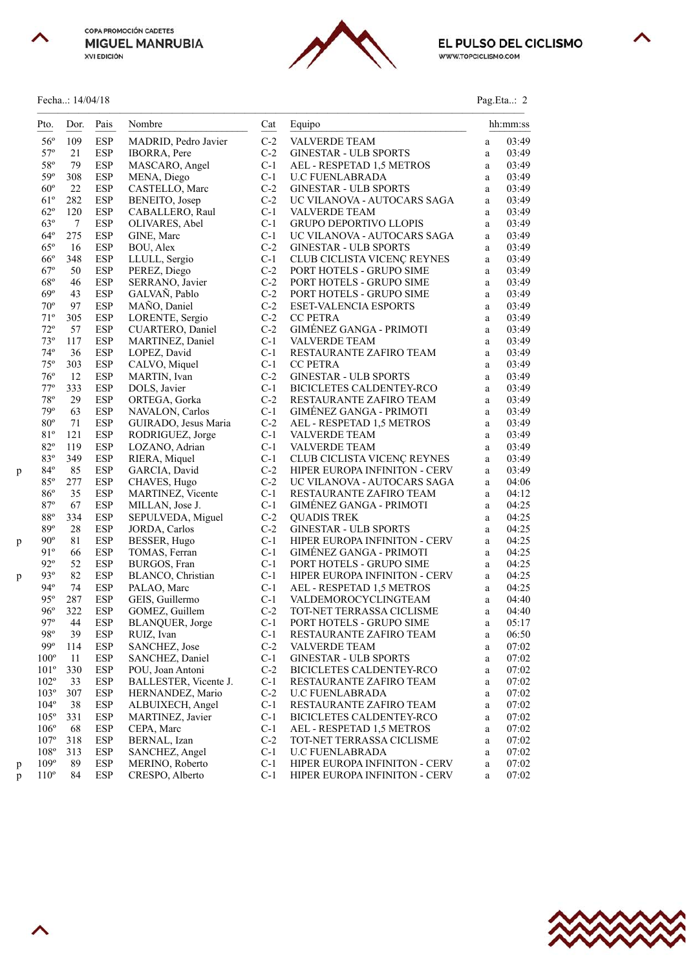



╲

# Fecha..: 14/04/18 Pag.Eta..: 2

| Pto.               | Dor.   | Pais       | Nombre                | Cat   | Equipo                          |              | hh:mm:ss |
|--------------------|--------|------------|-----------------------|-------|---------------------------------|--------------|----------|
| $56^{\circ}$       | 109    | <b>ESP</b> | MADRID, Pedro Javier  | $C-2$ | <b>VALVERDE TEAM</b>            | a            | 03:49    |
| $57^{\circ}$       | 21     | <b>ESP</b> | <b>IBORRA</b> , Pere  | $C-2$ | <b>GINESTAR - ULB SPORTS</b>    | a            | 03:49    |
| $58^{\circ}$       | 79     | ESP        | MASCARO, Angel        | $C-1$ | AEL - RESPETAD 1,5 METROS       | a            | 03:49    |
| 59°                | 308    | <b>ESP</b> | MENA, Diego           | $C-1$ | <b>U.C FUENLABRADA</b>          | a            | 03:49    |
| $60^{\circ}$       | 22     | <b>ESP</b> | CASTELLO, Marc        | $C-2$ | <b>GINESTAR - ULB SPORTS</b>    | a            | 03:49    |
| $61^{\circ}$       | 282    | <b>ESP</b> | BENEITO, Josep        | $C-2$ | UC VILANOVA - AUTOCARS SAGA     | a            | 03:49    |
| $62^{\circ}$       | 120    | ESP        | CABALLERO, Raul       | $C-1$ | <b>VALVERDE TEAM</b>            | a            | 03:49    |
| $63^\circ$         | $\tau$ | <b>ESP</b> | OLIVARES, Abel        | $C-1$ | GRUPO DEPORTIVO LLOPIS          | a            | 03:49    |
| $64^{\circ}$       | 275    | <b>ESP</b> | GINE, Marc            | $C-1$ | UC VILANOVA - AUTOCARS SAGA     | a            | 03:49    |
| $65^{\circ}$       | 16     | ESP        | BOU, Alex             | $C-2$ | <b>GINESTAR - ULB SPORTS</b>    | a            | 03:49    |
| $66^{\circ}$       | 348    | <b>ESP</b> | LLULL, Sergio         | $C-1$ | CLUB CICLISTA VICENÇ REYNES     | a            | 03:49    |
| $67^\circ$         | 50     | <b>ESP</b> | PEREZ, Diego          | $C-2$ | PORT HOTELS - GRUPO SIME        | a            | 03:49    |
| $68^{\circ}$       | 46     | <b>ESP</b> | SERRANO, Javier       | $C-2$ | PORT HOTELS - GRUPO SIME        | a            | 03:49    |
| $69^\circ$         | 43     | <b>ESP</b> | GALVAÑ, Pablo         | $C-2$ | PORT HOTELS - GRUPO SIME        | a            | 03:49    |
| $70^{\circ}$       | 97     | <b>ESP</b> | MAÑO, Daniel          | $C-2$ | ESET-VALENCIA ESPORTS           | a            | 03:49    |
| $71^{\circ}$       | 305    | ESP        | LORENTE, Sergio       | $C-2$ | <b>CC PETRA</b>                 | a            | 03:49    |
| $72^{\circ}$       | 57     | ESP        | CUARTERO, Daniel      | $C-2$ | GIMÉNEZ GANGA - PRIMOTI         | a            | 03:49    |
| $73^{\circ}$       | 117    | <b>ESP</b> | MARTINEZ, Daniel      | $C-1$ | VALVERDE TEAM                   | a            | 03:49    |
| $74^{\circ}$       | 36     | <b>ESP</b> | LOPEZ, David          | $C-1$ | RESTAURANTE ZAFIRO TEAM         | a            | 03:49    |
| $75^{\circ}$       | 303    | ESP        | CALVO, Miquel         | $C-1$ | <b>CC PETRA</b>                 | a            | 03:49    |
| $76^{\circ}$       | 12     | <b>ESP</b> | MARTIN, Ivan          | $C-2$ | <b>GINESTAR - ULB SPORTS</b>    | a            | 03:49    |
| $77^{\rm o}$       | 333    | <b>ESP</b> | DOLS, Javier          | $C-1$ | BICICLETES CALDENTEY-RCO        | a            | 03:49    |
| $78^{\circ}$       | 29     | <b>ESP</b> | ORTEGA, Gorka         | $C-2$ | RESTAURANTE ZAFIRO TEAM         | a            | 03:49    |
| 79°                | 63     | <b>ESP</b> | NAVALON, Carlos       | $C-1$ | GIMÉNEZ GANGA - PRIMOTI         | a            | 03:49    |
| $80^{\circ}$       | 71     | <b>ESP</b> | GUIRADO, Jesus Maria  | $C-2$ | AEL - RESPETAD 1,5 METROS       | a            | 03:49    |
| 81°                | 121    | <b>ESP</b> | RODRIGUEZ, Jorge      | $C-1$ | <b>VALVERDE TEAM</b>            | a            | 03:49    |
| $82^{\circ}$       | 119    | ESP        | LOZANO, Adrian        | $C-1$ | VALVERDE TEAM                   | a            | 03:49    |
| 83°                | 349    | <b>ESP</b> | RIERA, Miquel         | $C-1$ | CLUB CICLISTA VICENÇ REYNES     | a            | 03:49    |
| $84^{\circ}$<br>p  | 85     | <b>ESP</b> | GARCIA, David         | $C-2$ | HIPER EUROPA INFINITON - CERV   | a            | 03:49    |
| $85^{\circ}$       | 277    | ESP        | CHAVES, Hugo          | $C-2$ | UC VILANOVA - AUTOCARS SAGA     | a            | 04:06    |
| $86^{\circ}$       | 35     | <b>ESP</b> | MARTINEZ, Vicente     | $C-1$ | RESTAURANTE ZAFIRO TEAM         | $\mathbf{a}$ | 04:12    |
| 87°                | 67     | <b>ESP</b> | MILLAN, Jose J.       | $C-1$ | GIMÉNEZ GANGA - PRIMOTI         | a            | 04:25    |
| $88^{\circ}$       | 334    | ESP        | SEPULVEDA, Miguel     | $C-2$ | <b>QUADIS TREK</b>              | a            | 04:25    |
| 89°                | 28     | <b>ESP</b> | JORDA, Carlos         | $C-2$ | <b>GINESTAR - ULB SPORTS</b>    | a            | 04:25    |
| $90^{\circ}$<br>p  | 81     | <b>ESP</b> | BESSER, Hugo          | $C-1$ | HIPER EUROPA INFINITON - CERV   | a            | 04:25    |
| 91°                | 66     | <b>ESP</b> | TOMAS, Ferran         | $C-1$ | <b>GIMÉNEZ GANGA - PRIMOTI</b>  | a            | 04:25    |
| $92^{\circ}$       | 52     | ESP        | BURGOS, Fran          | $C-1$ | PORT HOTELS - GRUPO SIME        | a            | 04:25    |
| $93^\circ$<br>p    | 82     | <b>ESP</b> | BLANCO, Christian     | $C-1$ | HIPER EUROPA INFINITON - CERV   | a            | 04:25    |
| $94^\circ$         | 74     | ESP        | PALAO, Marc           | $C-1$ | AEL - RESPETAD 1,5 METROS       | a            | 04:25    |
| $95^\circ$         | 287    | <b>ESP</b> | GEIS, Guillermo       | $C-1$ | VALDEMOROCYCLINGTEAM            | a            | 04:40    |
| $96^{\circ}$       | 322    | <b>ESP</b> | GOMEZ, Guillem        | $C-2$ | TOT-NET TERRASSA CICLISME       | $\mathbf{a}$ | 04:40    |
| $97^\circ$         | 44     | <b>ESP</b> | BLANQUER, Jorge       | $C-1$ | PORT HOTELS - GRUPO SIME        | a            | 05:17    |
| 98°                | 39     | <b>ESP</b> | RUIZ, Ivan            | $C-1$ | RESTAURANTE ZAFIRO TEAM         | a            | 06:50    |
| $99^\circ$         | 114    | ESP        | SANCHEZ, Jose         | $C-2$ | VALVERDE TEAM                   | a            | 07:02    |
| $100^{\circ}$      | 11     | ESP        | SANCHEZ, Daniel       | $C-1$ | <b>GINESTAR - ULB SPORTS</b>    | a            | 07:02    |
| $101^{\circ}$      | 330    | ESP        | POU, Joan Antoni      | $C-2$ | <b>BICICLETES CALDENTEY-RCO</b> | a            | 07:02    |
| $102^{\circ}$      | 33     | <b>ESP</b> | BALLESTER, Vicente J. | $C-1$ | RESTAURANTE ZAFIRO TEAM         | a            | 07:02    |
| $103^\circ$        | 307    | <b>ESP</b> | HERNANDEZ, Mario      | $C-2$ | <b>U.C FUENLABRADA</b>          | a            | 07:02    |
| $104^{\circ}$      | 38     | ESP        | ALBUIXECH, Angel      | $C-1$ | RESTAURANTE ZAFIRO TEAM         | a            | 07:02    |
| $105^\circ$        | 331    | <b>ESP</b> | MARTINEZ, Javier      | $C-1$ | BICICLETES CALDENTEY-RCO        | a            | 07:02    |
| $106^{\circ}$      | 68     | ESP        | CEPA, Marc            | $C-1$ | AEL - RESPETAD 1,5 METROS       | a            | 07:02    |
| $107^{\circ}$      | 318    | ESP        | BERNAL, Izan          | $C-2$ | TOT-NET TERRASSA CICLISME       | a            | 07:02    |
| $108^{\circ}$      | 313    | ESP        | SANCHEZ, Angel        | $C-1$ | <b>U.C FUENLABRADA</b>          | a            | 07:02    |
| $109^\circ$<br>p   | 89     | <b>ESP</b> | MERINO, Roberto       | $C-1$ | HIPER EUROPA INFINITON - CERV   | a            | 07:02    |
| $110^{\circ}$<br>p | 84     | ESP        | CRESPO, Alberto       | $C-1$ | HIPER EUROPA INFINITON - CERV   | a            | 07:02    |



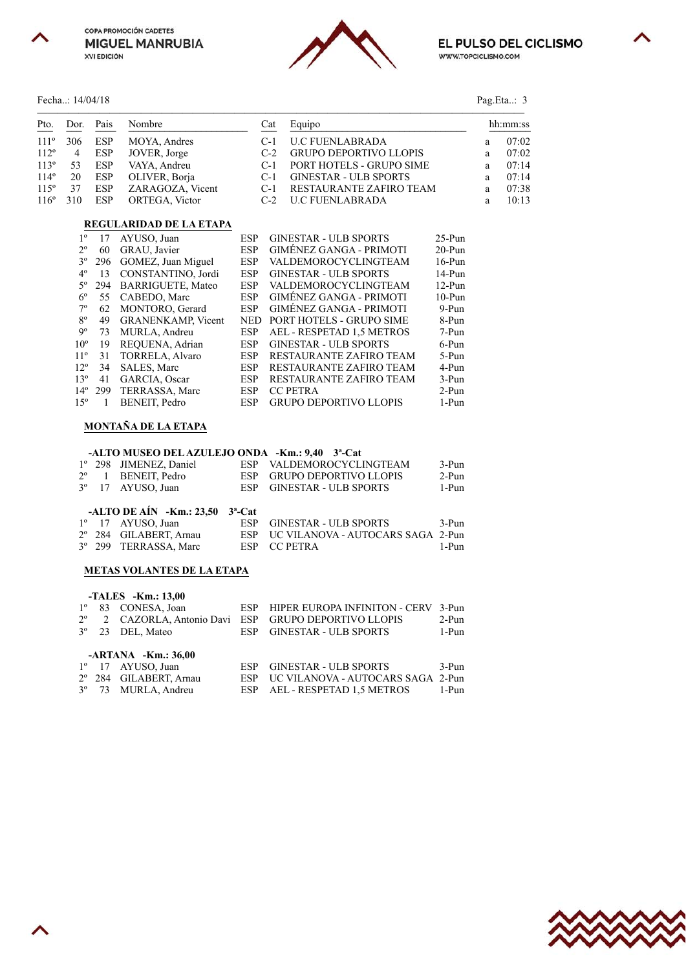





#### Fecha..: 14/04/18 Pag.Eta..: 3

| Pto. | Dor. Pais |  | Nombre                               | Cat | Equipo                       | hh:mm:ss |       |
|------|-----------|--|--------------------------------------|-----|------------------------------|----------|-------|
|      |           |  | $111^{\circ}$ 306 ESP MOYA, Andres   |     | C-1 U.C FUENLABRADA          | a        | 07:02 |
|      |           |  | $112^{\circ}$ 4 ESP JOVER, Jorge     |     | C-2 GRUPO DEPORTIVO LLOPIS   | a        | 07:02 |
|      |           |  | $113^{\circ}$ 53 ESP VAYA, Andreu    |     | C-1 PORT HOTELS - GRUPO SIME | a        | 07:14 |
|      |           |  | 114° 20 ESP OLIVER, Borja            |     | C-1 GINESTAR - ULB SPORTS    | a        | 07:14 |
|      |           |  | 115° 37 ESP ZARAGOZA, Vicent         |     | C-1 RESTAURANTE ZAFIRO TEAM  | a        | 07:38 |
|      |           |  | $116^{\circ}$ 310 ESP ORTEGA, Victor |     | C-2 U.C FUENLABRADA          | a        | 10:13 |

## **REGULARIDAD DE LA ETAPA**

| $1^{\circ}$     | 17  | AYUSO, Juan               | <b>ESP</b> | <b>GINESTAR - ULB SPORTS</b>   | $25-Pun$  |
|-----------------|-----|---------------------------|------------|--------------------------------|-----------|
| $2^{\circ}$     | 60  | GRAU, Javier              | <b>ESP</b> | <b>GIMÉNEZ GANGA - PRIMOTI</b> | $20-Pun$  |
| $3^{\circ}$     | 296 | GOMEZ, Juan Miguel        | <b>ESP</b> | VALDEMOROCYCLINGTEAM           | $16$ -Pun |
| $4^{\circ}$     | 13  | CONSTANTINO, Jordi        | <b>ESP</b> | <b>GINESTAR - ULB SPORTS</b>   | $14-Pun$  |
| $5^{\circ}$     | 294 | <b>BARRIGUETE, Mateo</b>  | ESP        | VALDEMOROCYCLINGTEAM           | $12-Pun$  |
| $6^{\circ}$     | 55  | CABEDO, Marc              | <b>ESP</b> | <b>GIMÉNEZ GANGA - PRIMOTI</b> | $10-Pun$  |
| $7^\circ$       | 62  | MONTORO, Gerard           | <b>ESP</b> | <b>GIMÉNEZ GANGA - PRIMOTI</b> | $9-Pun$   |
| $8^{\circ}$     | 49  | <b>GRANENKAMP, Vicent</b> | <b>NED</b> | PORT HOTELS - GRUPO SIME       | 8-Pun     |
| 9°              | 73  | MURLA, Andreu             | <b>ESP</b> | AEL - RESPETAD 1.5 METROS      | 7-Pun     |
| 10 <sup>o</sup> | 19  | REQUENA, Adrian           | <b>ESP</b> | <b>GINESTAR - ULB SPORTS</b>   | 6-Pun     |
| 11 <sup>o</sup> | 31  | TORRELA, Alvaro           | <b>ESP</b> | RESTAURANTE ZAFIRO TEAM        | 5-Pun     |
| $12^{\circ}$    | 34  | <b>SALES, Marc</b>        | <b>ESP</b> | <b>RESTAURANTE ZAFIRO TEAM</b> | 4-Pun     |
| 13 <sup>°</sup> | 41  | GARCIA, Oscar             | <b>ESP</b> | RESTAURANTE ZAFIRO TEAM        | $3-Pun$   |
| $14^{\circ}$    | 299 | TERRASSA, Marc            | <b>ESP</b> | <b>CC PETRA</b>                | $2-Pun$   |
| $15^\circ$      |     | BENEIT, Pedro             | <b>ESP</b> | <b>GRUPO DEPORTIVO LLOPIS</b>  | 1-Pun     |

### **MONTAÑA DE LA ETAPA**

#### **-ALTO MUSEO DEL AZULEJO ONDA -Km.: 9,40 3ª-Cat**

|  | 1° 298 JIMENEZ, Daniel                                   | ESP VALDEMOROCYCLINGTEAM   | 3-Pun |
|--|----------------------------------------------------------|----------------------------|-------|
|  | $2^{\circ}$ 1 BENEIT. Pedro                              | ESP GRUPO DEPORTIVO LLOPIS | 2-Pun |
|  | $3^{\circ}$ 17 AYUSO, Juan                               | ESP GINESTAR - ULB SPORTS  | 1-Pun |
|  |                                                          |                            |       |
|  | -ALTO DE AÍN -Km.: $23,50$ $3^a$ -Cat                    |                            |       |
|  | $10 \quad 17 \quad \text{AVHICA}$ $\lim_{\lambda \to 0}$ | ECD CIMECTAD III D CDODTC  | 2.5   |

|  | 1 <sup>°</sup> 17 AYUSO, Juan     | ESP GINESTAR - ULB SPORTS             | $3-Pun$ |
|--|-----------------------------------|---------------------------------------|---------|
|  | 2° 284 GILABERT, Arnau            | ESP UC VILANOVA - AUTOCARS SAGA 2-Pun |         |
|  | 3 <sup>°</sup> 299 TERRASSA, Marc | ESP CC PETRA                          | 1-Pun   |

#### **METAS VOLANTES DE LA ETAPA**

|             | -TALES -Km.: 13,00                         |      |                                   |         |
|-------------|--------------------------------------------|------|-----------------------------------|---------|
| $1^{\circ}$ | 83 CONESA, Joan                            | ESP  | HIPER EUROPA INFINITON - CERV     | 3-Pun   |
|             | 2 <sup>°</sup> 2 CAZORLA, Antonio Davi ESP |      | GRUPO DEPORTIVO LLOPIS            | $2-Pun$ |
|             | 3 <sup>°</sup> 23 DEL, Mateo               | ESP  | <b>GINESTAR - ULB SPORTS</b>      | 1-Pun   |
|             | $-ARTANA$ $-Km.: 36,00$                    |      |                                   |         |
|             | $1^{\circ}$ 17 AYUSO, Juan                 | ESP. | <b>GINESTAR - ULB SPORTS</b>      | $3-Pun$ |
|             | 2º 284 GILABERT, Arnau                     | ESP  | UC VILANOVA - AUTOCARS SAGA 2-Pun |         |
|             | 3° 73 MURLA, Andreu                        |      | ESP AEL - RESPETAD 1.5 METROS     | 1-Pun   |



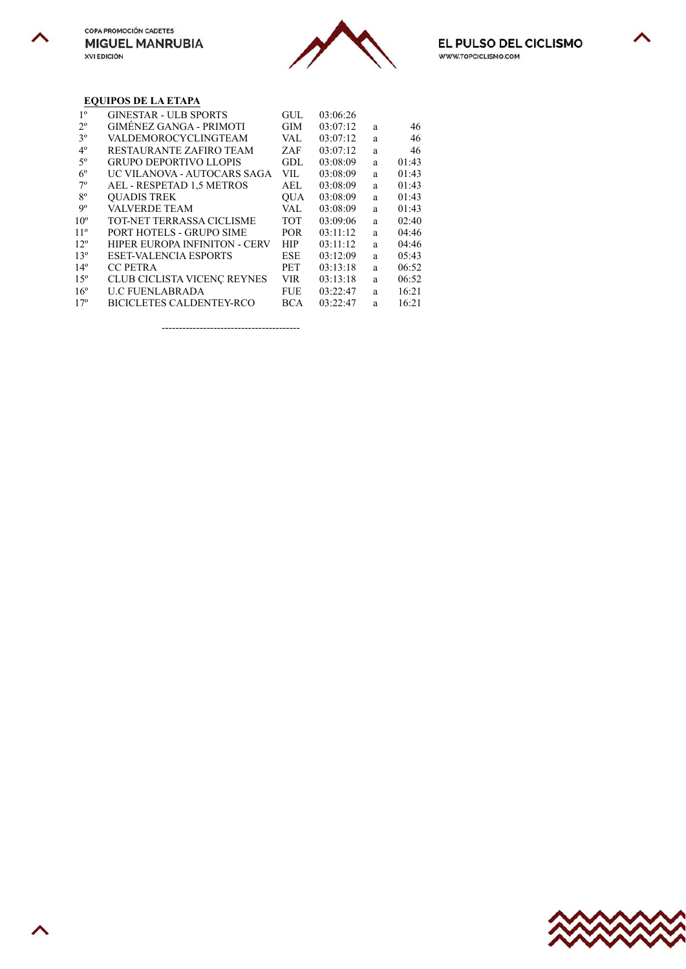╲





# **EQUIPOS DE LA ETAPA**

| $1^{\circ}$     | <b>GINESTAR - ULB SPORTS</b>         | GUL        | 03:06:26 |   |       |
|-----------------|--------------------------------------|------------|----------|---|-------|
| $2^{\circ}$     | GIMÉNEZ GANGA - PRIMOTI              | <b>GIM</b> | 03:07:12 | a | 46    |
| 3 <sup>o</sup>  | VALDEMOROCYCLINGTEAM                 | VAL        | 03:07:12 | a | 46    |
| $4^{\circ}$     | RESTAURANTE ZAFIRO TEAM              | ZAF        | 03:07:12 | a | 46    |
| $5^{\circ}$     | <b>GRUPO DEPORTIVO LLOPIS</b>        | GDL        | 03:08:09 | a | 01:43 |
| $6^{\circ}$     | UC VILANOVA - AUTOCARS SAGA          | VIL        | 03:08:09 | a | 01:43 |
| $7^\circ$       | AEL - RESPETAD 1,5 METROS            | <b>AEL</b> | 03:08:09 | a | 01:43 |
| $8^{\circ}$     | <b>OUADIS TREK</b>                   | <b>OUA</b> | 03:08:09 | a | 01:43 |
| 9°              | <b>VALVERDE TEAM</b>                 | VAL        | 03:08:09 | a | 01:43 |
| 10 <sup>o</sup> | <b>TOT-NET TERRASSA CICLISME</b>     | <b>TOT</b> | 03:09:06 | a | 02:40 |
| 11 <sup>°</sup> | PORT HOTELS - GRUPO SIME             | <b>POR</b> | 03:11:12 | a | 04:46 |
| $12^{\circ}$    | <b>HIPER EUROPA INFINITON - CERV</b> | HIP        | 03:11:12 | a | 04:46 |
| 13 <sup>°</sup> | <b>ESET-VALENCIA ESPORTS</b>         | <b>ESE</b> | 03:12:09 | a | 05:43 |
| 14 <sup>°</sup> | <b>CC PETRA</b>                      | <b>PET</b> | 03:13:18 | a | 06:52 |
| 15 <sup>o</sup> | CLUB CICLISTA VICENÇ REYNES          | VIR        | 03:13:18 | a | 06:52 |
| $16^{\circ}$    | <b>U.C FUENLABRADA</b>               | <b>FUE</b> | 03:22:47 | a | 16:21 |
| 17 <sup>°</sup> | <b>BICICLETES CALDENTEY-RCO</b>      | BCA        | 03:22:47 | a | 16:21 |
|                 |                                      |            |          |   |       |

----------------------------------------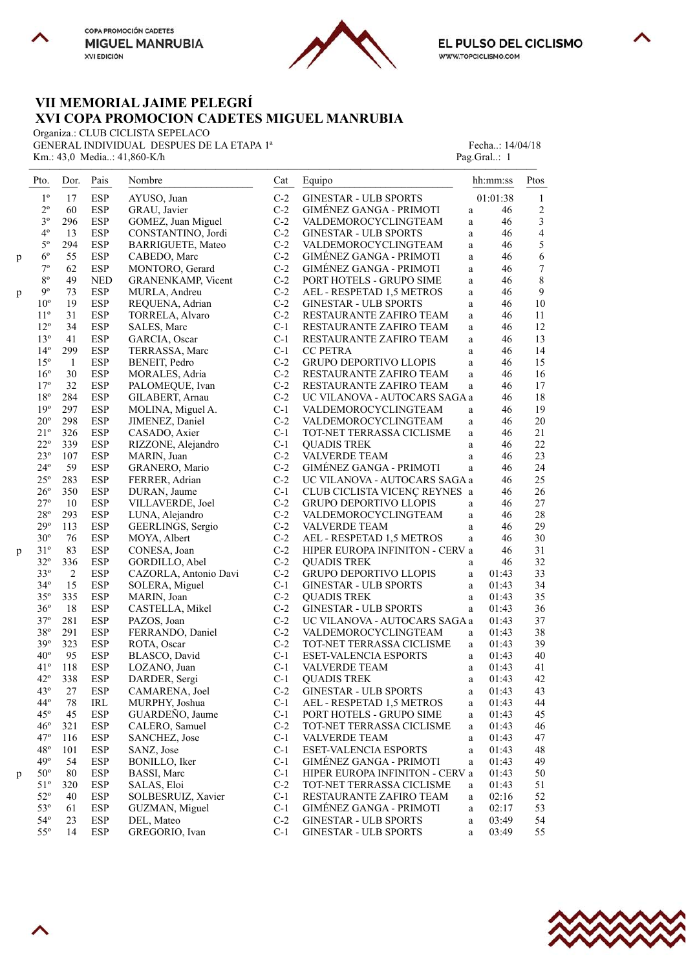



∧

# **VII MEMORIAL JAIME PELEGRÍ XVI COPA PROMOCION CADETES MIGUEL MANRUBIA**

Organiza.: CLUB CICLISTA SEPELACO

GENERAL INDIVIDUAL DESPUES DE LA ETAPA 1ª Fecha..: 14/04/18 Km.: 43,0 Media..: 41,860-K/h Pag.Gral..: 1

|   | Pto.            | Dor.           | Pais       | Nombre                    | Cat   | Equipo                          |              | hh:mm:ss | Ptos           |
|---|-----------------|----------------|------------|---------------------------|-------|---------------------------------|--------------|----------|----------------|
|   | $1^{\circ}$     | 17             | <b>ESP</b> | AYUSO, Juan               | $C-2$ | GINESTAR - ULB SPORTS           |              | 01:01:38 | 1              |
|   | $2^{\circ}$     | 60             | <b>ESP</b> | GRAU, Javier              | $C-2$ | GIMÉNEZ GANGA - PRIMOTI         | a            | 46       | 2              |
|   | $3^{\circ}$     | 296            | <b>ESP</b> | GOMEZ, Juan Miguel        | $C-2$ | VALDEMOROCYCLINGTEAM            | a            | 46       | $\sqrt{3}$     |
|   | $4^{\circ}$     | 13             | <b>ESP</b> | CONSTANTINO, Jordi        | $C-2$ | <b>GINESTAR - ULB SPORTS</b>    | a            | 46       | $\overline{4}$ |
|   | $5^{\circ}$     | 294            | <b>ESP</b> | <b>BARRIGUETE, Mateo</b>  | $C-2$ | VALDEMOROCYCLINGTEAM            | a            | 46       | 5              |
|   | $6^{\circ}$     | 55             | <b>ESP</b> | CABEDO, Marc              | $C-2$ | <b>GIMÉNEZ GANGA - PRIMOTI</b>  | $\rm{a}$     | 46       | 6              |
| p | $7^{\circ}$     | 62             | <b>ESP</b> |                           | $C-2$ | GIMÉNEZ GANGA - PRIMOTI         |              | 46       | 7              |
|   | $8^{\rm o}$     |                |            | MONTORO, Gerard           |       |                                 | a            |          |                |
|   |                 | 49             | <b>NED</b> | <b>GRANENKAMP, Vicent</b> | $C-2$ | PORT HOTELS - GRUPO SIME        | a            | 46       | $\,$ $\,$      |
| p | $9^{\circ}$     | 73             | <b>ESP</b> | MURLA, Andreu             | $C-2$ | AEL - RESPETAD 1,5 METROS       | a            | 46       | $\overline{9}$ |
|   | $10^{\circ}$    | 19             | <b>ESP</b> | REQUENA, Adrian           | $C-2$ | <b>GINESTAR - ULB SPORTS</b>    | a            | 46       | 10             |
|   | $11^{\rm o}$    | 31             | <b>ESP</b> | TORRELA, Alvaro           | $C-2$ | RESTAURANTE ZAFIRO TEAM         | a            | 46       | 11             |
|   | $12^{\circ}$    | 34             | ESP        | SALES, Marc               | $C-1$ | RESTAURANTE ZAFIRO TEAM         | $\mathbf{a}$ | 46       | 12             |
|   | $13^{\circ}$    | 41             | <b>ESP</b> | GARCIA, Oscar             | $C-1$ | RESTAURANTE ZAFIRO TEAM         | a            | 46       | 13             |
|   | $14^{\circ}$    | 299            | <b>ESP</b> | TERRASSA, Marc            | $C-1$ | <b>CC PETRA</b>                 | a            | 46       | 14             |
|   | $15^{\circ}$    | -1             | <b>ESP</b> | BENEIT, Pedro             | $C-2$ | <b>GRUPO DEPORTIVO LLOPIS</b>   | $\mathbf{a}$ | 46       | 15             |
|   | $16^{\circ}$    | $30\,$         | <b>ESP</b> | MORALES, Adria            | $C-2$ | RESTAURANTE ZAFIRO TEAM         | $\rm{a}$     | 46       | 16             |
|   | $17^{\circ}$    | 32             | <b>ESP</b> | PALOMEQUE, Ivan           | $C-2$ | RESTAURANTE ZAFIRO TEAM         | a            | 46       | 17             |
|   | $18^{\rm o}$    | 284            | <b>ESP</b> | GILABERT, Arnau           | $C-2$ | UC VILANOVA - AUTOCARS SAGA a   |              | 46       | 18             |
|   | 19 <sup>°</sup> | 297            | <b>ESP</b> | MOLINA, Miguel A.         | $C-1$ | VALDEMOROCYCLINGTEAM            | a            | 46       | 19             |
|   | $20^{\circ}$    | 298            | <b>ESP</b> | JIMENEZ, Daniel           | $C-2$ | VALDEMOROCYCLINGTEAM            | a            | 46       | 20             |
|   | $21^{\circ}$    | 326            | <b>ESP</b> | CASADO, Axier             | $C-1$ | TOT-NET TERRASSA CICLISME       | a            | 46       | 21             |
|   | $22^{\circ}$    | 339            | <b>ESP</b> | RIZZONE, Alejandro        | $C-1$ | <b>QUADIS TREK</b>              | a            | 46       | 22             |
|   | $23^{\circ}$    | 107            | ESP        | MARIN, Juan               | $C-2$ | VALVERDE TEAM                   | a            | 46       | 23             |
|   | $24^{\circ}$    | 59             | <b>ESP</b> | GRANERO, Mario            | $C-2$ | GIMÉNEZ GANGA - PRIMOTI         | a            | 46       | 24             |
|   | $25^{\circ}$    | 283            | <b>ESP</b> |                           | $C-2$ | UC VILANOVA - AUTOCARS SAGA a   |              | 46       | 25             |
|   |                 |                |            | FERRER, Adrian            |       |                                 |              |          |                |
|   | $26^{\circ}$    | 350            | <b>ESP</b> | DURAN, Jaume              | $C-1$ | CLUB CICLISTA VICENÇ REYNES a   |              | 46       | 26             |
|   | $27^{\circ}$    | 10             | <b>ESP</b> | VILLAVERDE, Joel          | $C-2$ | <b>GRUPO DEPORTIVO LLOPIS</b>   | a            | 46       | $27\,$         |
|   | $28^{\rm o}$    | 293            | <b>ESP</b> | LUNA, Alejandro           | $C-2$ | VALDEMOROCYCLINGTEAM            | $\mathbf{a}$ | 46       | 28             |
|   | $29^{\circ}$    | 113            | ESP        | GEERLINGS, Sergio         | $C-2$ | <b>VALVERDE TEAM</b>            | a            | 46       | 29             |
|   | $30^{\circ}$    | 76             | <b>ESP</b> | MOYA, Albert              | $C-2$ | AEL - RESPETAD 1,5 METROS       | a            | 46       | 30             |
| p | $31^{\circ}$    | 83             | <b>ESP</b> | CONESA, Joan              | $C-2$ | HIPER EUROPA INFINITON - CERV a |              | 46       | 31             |
|   | $32^{\circ}$    | 336            | <b>ESP</b> | GORDILLO, Abel            | $C-2$ | <b>QUADIS TREK</b>              | a            | 46       | 32             |
|   | $33^{\circ}$    | $\overline{c}$ | ESP        | CAZORLA, Antonio Davi     | $C-2$ | <b>GRUPO DEPORTIVO LLOPIS</b>   | a            | 01:43    | 33             |
|   | $34^\circ$      | 15             | <b>ESP</b> | SOLERA, Miguel            | $C-1$ | <b>GINESTAR - ULB SPORTS</b>    | a            | 01:43    | 34             |
|   | $35^{\circ}$    | 335            | <b>ESP</b> | MARIN, Joan               | $C-2$ | <b>QUADIS TREK</b>              | $\mathbf{a}$ | 01:43    | 35             |
|   | $36^{\circ}$    | 18             | <b>ESP</b> | CASTELLA, Mikel           | $C-2$ | <b>GINESTAR - ULB SPORTS</b>    | a            | 01:43    | 36             |
|   | $37^{\circ}$    | 281            | <b>ESP</b> | PAZOS, Joan               | $C-2$ | UC VILANOVA - AUTOCARS SAGA a   |              | 01:43    | 37             |
|   | $38^{\rm o}$    | 291            | <b>ESP</b> | FERRANDO, Daniel          | $C-2$ | VALDEMOROCYCLINGTEAM            | a            | 01:43    | 38             |
|   | $39^\circ$      | 323            | <b>ESP</b> | ROTA, Oscar               | $C-2$ | TOT-NET TERRASSA CICLISME       | a            | 01:43    | 39             |
|   | $40^{\circ}$    | 95             | <b>ESP</b> | BLASCO, David             | $C-1$ | <b>ESET-VALENCIA ESPORTS</b>    | a            | 01:43    | 40             |
|   | $41^{\circ}$    | 118            | ESP        | LOZANO, Juan              | $C-1$ | <b>VALVERDE TEAM</b>            | a            | 01:43    | 41             |
|   | $42^{\circ}$    | 338            | <b>ESP</b> | DARDER, Sergi             | $C-1$ | <b>QUADIS TREK</b>              | $\rm{a}$     | 01:43    | 42             |
|   | $43^{\circ}$    | 27             | <b>ESP</b> | CAMARENA, Joel            | $C-2$ | <b>GINESTAR - ULB SPORTS</b>    | a            | 01:43    | 43             |
|   | $44^\circ$      |                |            |                           |       |                                 |              |          |                |
|   |                 | 78             | IRL        | MURPHY, Joshua            | $C-1$ | AEL - RESPETAD 1,5 METROS       | a            | 01:43    | 44             |
|   | $45^\circ$      | 45             | <b>ESP</b> | GUARDEÑO, Jaume           | $C-1$ | PORT HOTELS - GRUPO SIME        | $\rm{a}$     | 01:43    | 45             |
|   | $46^{\circ}$    | 321            | ESP        | CALERO, Samuel            | $C-2$ | TOT-NET TERRASSA CICLISME       | a            | 01:43    | 46             |
|   | $47^\circ$      | 116            | ESP        | SANCHEZ, Jose             | $C-1$ | VALVERDE TEAM                   | a            | 01:43    | 47             |
|   | $48^{\circ}$    | 101            | <b>ESP</b> | SANZ, Jose                | $C-1$ | ESET-VALENCIA ESPORTS           | $\rm{a}$     | 01:43    | 48             |
|   | $49^\circ$      | 54             | <b>ESP</b> | BONILLO, Iker             | $C-1$ | GIMÉNEZ GANGA - PRIMOTI         | $\rm{a}$     | 01:43    | 49             |
| p | $50^{\circ}$    | 80             | <b>ESP</b> | BASSI, Marc               | $C-1$ | HIPER EUROPA INFINITON - CERV a |              | 01:43    | 50             |
|   | $51^{\circ}$    | 320            | <b>ESP</b> | SALAS, Eloi               | $C-2$ | TOT-NET TERRASSA CICLISME       | a            | 01:43    | 51             |
|   | $52^{\circ}$    | 40             | <b>ESP</b> | SOLBESRUIZ, Xavier        | $C-1$ | RESTAURANTE ZAFIRO TEAM         | a            | 02:16    | 52             |
|   | $53^\circ$      | 61             | <b>ESP</b> | GUZMAN, Miguel            | $C-1$ | GIMÉNEZ GANGA - PRIMOTI         | a            | 02:17    | 53             |
|   | $54^\circ$      | 23             | ESP        | DEL, Mateo                | $C-2$ | <b>GINESTAR - ULB SPORTS</b>    | a            | 03:49    | 54             |
|   | $55^{\circ}$    | 14             | <b>ESP</b> | GREGORIO, Ivan            | $C-1$ | <b>GINESTAR - ULB SPORTS</b>    | a            | 03:49    | 55             |
|   |                 |                |            |                           |       |                                 |              |          |                |

—————————————————————————————————————————————————

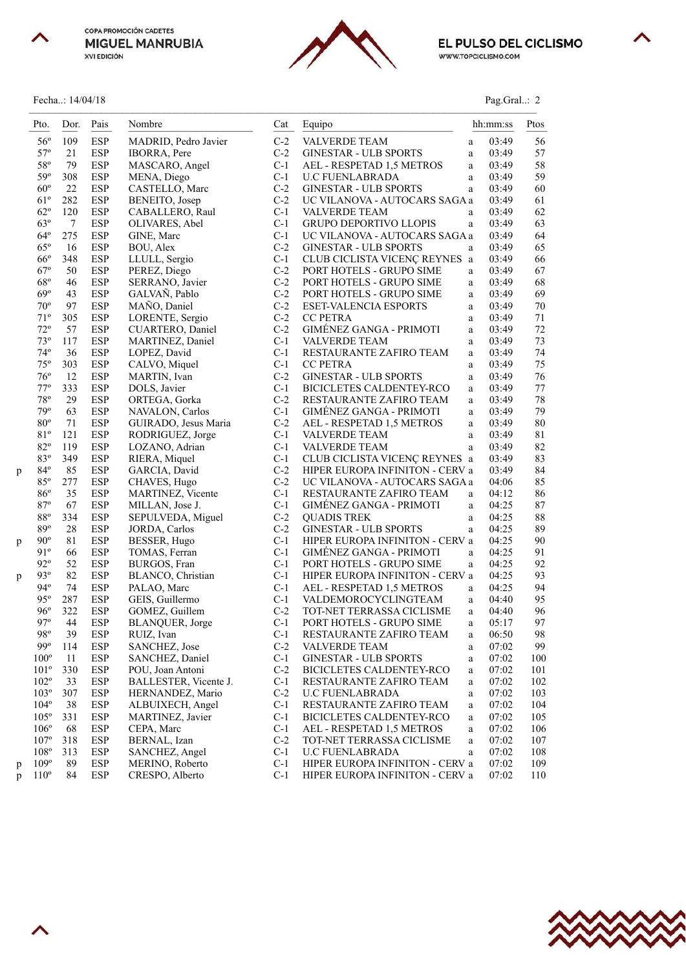



Fecha..: 14/04/18 Pag.Gral..: 2



| ag Gral. |  |
|----------|--|
|          |  |
|          |  |

|   | Pto.                         | Dor.      | Pais                     | Nombre                                      | Cat            | Equipo                                              |               | hh:mm:ss       | Ptos         |
|---|------------------------------|-----------|--------------------------|---------------------------------------------|----------------|-----------------------------------------------------|---------------|----------------|--------------|
|   | $56^{\circ}$                 | 109       | <b>ESP</b>               | MADRID, Pedro Javier                        | $C-2$          | VALVERDE TEAM                                       | a             | 03:49          | 56           |
|   | $57^{\circ}$                 | 21        | <b>ESP</b>               | <b>IBORRA, Pere</b>                         | $C-2$          | <b>GINESTAR - ULB SPORTS</b>                        | a             | 03:49          | 57           |
|   | $58^{\rm o}$                 | 79        | <b>ESP</b>               | MASCARO, Angel                              | $C-1$          | AEL - RESPETAD 1,5 METROS                           | a             | 03:49          | 58           |
|   | 59°                          | 308       | <b>ESP</b>               | MENA, Diego                                 | $C-1$          | <b>U.C FUENLABRADA</b>                              | a             | 03:49          | 59           |
|   | $60^{\circ}$                 | 22        | <b>ESP</b>               | CASTELLO, Marc                              | $C-2$          | <b>GINESTAR - ULB SPORTS</b>                        | a             | 03:49          | 60           |
|   | $61^{\circ}$                 | 282       | <b>ESP</b>               | BENEITO, Josep                              | $C-2$          | UC VILANOVA - AUTOCARS SAGA a                       |               | 03:49          | 61           |
|   | $62^{\circ}$                 | 120       | <b>ESP</b>               | CABALLERO, Raul                             | $C-1$          | <b>VALVERDE TEAM</b>                                | a             | 03:49          | 62           |
|   | $63^\circ$                   | $\tau$    | <b>ESP</b>               | OLIVARES, Abel                              | $C-1$          | GRUPO DEPORTIVO LLOPIS                              | a             | 03:49          | 63           |
|   | $64^{\circ}$                 | 275       | <b>ESP</b>               | GINE, Marc                                  | $C-1$          | UC VILANOVA - AUTOCARS SAGA a                       |               | 03:49          | 64           |
|   | $65^{\circ}$                 | 16        | <b>ESP</b>               | BOU, Alex                                   | $C-2$          | <b>GINESTAR - ULB SPORTS</b>                        | a             | 03:49          | 65           |
|   | $66^{\circ}$                 | 348       | <b>ESP</b>               | LLULL, Sergio                               | $C-1$          | CLUB CICLISTA VICENÇ REYNES a                       |               | 03:49          | 66           |
|   | $67^\circ$                   | 50        | <b>ESP</b>               | PEREZ, Diego                                | $C-2$          | PORT HOTELS - GRUPO SIME                            | a             | 03:49          | 67           |
|   | $68^{\circ}$                 | 46        | <b>ESP</b>               | SERRANO, Javier                             | $C-2$          | PORT HOTELS - GRUPO SIME                            | a             | 03:49          | 68           |
|   | $69^\circ$                   | 43        | <b>ESP</b>               | GALVAÑ, Pablo                               | $C-2$          | PORT HOTELS - GRUPO SIME                            | a             | 03:49          | 69           |
|   | $70^{\circ}$                 | 97        | <b>ESP</b>               | MAÑO, Daniel                                | $C-2$          | <b>ESET-VALENCIA ESPORTS</b>                        | a             | 03:49          | $70\,$       |
|   | $71^{\circ}$<br>$72^{\circ}$ | 305       | <b>ESP</b>               | LORENTE, Sergio                             | $C-2$<br>$C-2$ | <b>CC PETRA</b><br><b>GIMÉNEZ GANGA - PRIMOTI</b>   | a             | 03:49          | $71\,$<br>72 |
|   | $73^{\circ}$                 | 57<br>117 | <b>ESP</b><br><b>ESP</b> | <b>CUARTERO, Daniel</b><br>MARTINEZ, Daniel | $C-1$          | <b>VALVERDE TEAM</b>                                | a<br>$\rm{a}$ | 03:49<br>03:49 | 73           |
|   | $74^{\circ}$                 | 36        | <b>ESP</b>               | LOPEZ, David                                | $C-1$          | RESTAURANTE ZAFIRO TEAM                             | a             | 03:49          | 74           |
|   | $75^{\circ}$                 | 303       | <b>ESP</b>               | CALVO, Miquel                               | $C-1$          | <b>CC PETRA</b>                                     | a             | 03:49          | 75           |
|   | $76^{\circ}$                 | 12        | <b>ESP</b>               | MARTIN, Ivan                                | $C-2$          | <b>GINESTAR - ULB SPORTS</b>                        | a             | 03:49          | 76           |
|   | $77^{\circ}$                 | 333       | <b>ESP</b>               | DOLS, Javier                                | $C-1$          | BICICLETES CALDENTEY-RCO                            | a             | 03:49          | $77 \,$      |
|   | $78^{\circ}$                 | 29        | <b>ESP</b>               | ORTEGA, Gorka                               | $C-2$          | RESTAURANTE ZAFIRO TEAM                             | a             | 03:49          | 78           |
|   | 79°                          | 63        | <b>ESP</b>               | NAVALON, Carlos                             | $C-1$          | GIMÉNEZ GANGA - PRIMOTI                             | a             | 03:49          | 79           |
|   | $80^{\circ}$                 | 71        | <b>ESP</b>               | GUIRADO, Jesus Maria                        | $C-2$          | AEL - RESPETAD 1,5 METROS                           | a             | 03:49          | 80           |
|   | 81°                          | 121       | <b>ESP</b>               | RODRIGUEZ, Jorge                            | $C-1$          | <b>VALVERDE TEAM</b>                                | a             | 03:49          | 81           |
|   | $82^{\circ}$                 | 119       | <b>ESP</b>               | LOZANO, Adrian                              | $C-1$          | VALVERDE TEAM                                       | a             | 03:49          | 82           |
|   | 83°                          | 349       | <b>ESP</b>               | RIERA, Miquel                               | $C-1$          | CLUB CICLISTA VICENÇ REYNES a                       |               | 03:49          | 83           |
| p | $84^{\circ}$                 | 85        | <b>ESP</b>               | GARCIA, David                               | $C-2$          | HIPER EUROPA INFINITON - CERV a                     |               | 03:49          | 84           |
|   | $85^\circ$                   | 277       | <b>ESP</b>               | CHAVES, Hugo                                | $C-2$          | UC VILANOVA - AUTOCARS SAGA a                       |               | 04:06          | 85           |
|   | $86^{\circ}$                 | 35        | <b>ESP</b>               | <b>MARTINEZ, Vicente</b>                    | $C-1$          | RESTAURANTE ZAFIRO TEAM                             | $\mathbf{a}$  | 04:12          | 86           |
|   | 87°                          | 67        | <b>ESP</b>               | MILLAN, Jose J.                             | $C-1$          | GIMÉNEZ GANGA - PRIMOTI                             | a             | 04:25          | 87           |
|   | $88^{\circ}$                 | 334       | <b>ESP</b>               | SEPULVEDA, Miguel                           | $C-2$          | <b>QUADIS TREK</b>                                  | a             | 04:25          | 88           |
|   | 89°                          | 28        | <b>ESP</b>               | JORDA, Carlos                               | $C-2$          | <b>GINESTAR - ULB SPORTS</b>                        | $\mathbf{a}$  | 04:25          | 89           |
| p | $90^{\circ}$                 | 81        | <b>ESP</b>               | BESSER, Hugo                                | $C-1$          | HIPER EUROPA INFINITON - CERV a                     |               | 04:25          | 90           |
|   | 91°                          | 66        | <b>ESP</b>               | TOMAS, Ferran                               | $C-1$          | GIMÉNEZ GANGA - PRIMOTI                             | a             | 04:25          | 91           |
|   | $92^{\circ}$                 | 52        | <b>ESP</b>               | BURGOS, Fran                                | $C-1$          | PORT HOTELS - GRUPO SIME                            | a             | 04:25          | 92           |
| p | $93^\circ$                   | 82        | <b>ESP</b>               | BLANCO, Christian                           | $C-1$          | HIPER EUROPA INFINITON - CERV a                     |               | 04:25          | 93           |
|   | $94^\circ$                   | 74        | <b>ESP</b>               | PALAO, Marc                                 | $C-1$          | AEL - RESPETAD 1,5 METROS                           | a             | 04:25          | 94           |
|   | $95^\circ$                   | 287       | <b>ESP</b>               | GEIS, Guillermo                             | $C-1$          | VALDEMOROCYCLINGTEAM                                | a             | 04:40          | 95           |
|   | $96^{\circ}$<br>$97^{\rm o}$ | 322       | <b>ESP</b>               | GOMEZ, Guillem                              | $C-2$          | TOT-NET TERRASSA CICLISME                           | a             | 04:40          | 96           |
|   | 98°                          | 44<br>39  | <b>ESP</b><br><b>ESP</b> | BLANQUER, Jorge                             | $C-1$<br>$C-1$ | PORT HOTELS - GRUPO SIME<br>RESTAURANTE ZAFIRO TEAM | a             | 05:17<br>06:50 | 97<br>98     |
|   | 99°                          | 114       | ESP                      | RUIZ, Ivan<br>SANCHEZ, Jose                 | $C-2$          | VALVERDE TEAM                                       | a             | 07:02          | 99           |
|   | $100^{\circ}$                | 11        | <b>ESP</b>               | SANCHEZ, Daniel                             | $C-1$          | <b>GINESTAR - ULB SPORTS</b>                        | a<br>$\rm{a}$ | 07:02          | 100          |
|   | $101^{\circ}$                | 330       | <b>ESP</b>               | POU, Joan Antoni                            | $C-2$          | <b>BICICLETES CALDENTEY-RCO</b>                     | a             | 07:02          | 101          |
|   | $102^{\circ}$                | 33        | ESP                      | BALLESTER, Vicente J.                       | $C-1$          | RESTAURANTE ZAFIRO TEAM                             | a             | 07:02          | 102          |
|   | $103^{\circ}$                | 307       | <b>ESP</b>               | HERNANDEZ, Mario                            | $C-2$          | <b>U.C FUENLABRADA</b>                              | a             | 07:02          | 103          |
|   | $104^\circ$                  | 38        | <b>ESP</b>               | ALBUIXECH, Angel                            | $C-1$          | RESTAURANTE ZAFIRO TEAM                             | a             | 07:02          | 104          |
|   | $105^{\circ}$                | 331       | <b>ESP</b>               | MARTINEZ, Javier                            | $C-1$          | BICICLETES CALDENTEY-RCO                            | a             | 07:02          | 105          |
|   | $106^{\circ}$                | 68        | ESP                      | CEPA, Marc                                  | $C-1$          | AEL - RESPETAD 1,5 METROS                           | $\rm{a}$      | 07:02          | 106          |
|   | $107^{\circ}$                | 318       | ESP                      | BERNAL, Izan                                | $C-2$          | TOT-NET TERRASSA CICLISME                           | a             | 07:02          | 107          |
|   | 108°                         | 313       | <b>ESP</b>               | SANCHEZ, Angel                              | $C-1$          | <b>U.C FUENLABRADA</b>                              | a             | 07:02          | 108          |
| p | $109^\circ$                  | 89        | ESP                      | MERINO, Roberto                             | $C-1$          | HIPER EUROPA INFINITON - CERV a                     |               | 07:02          | 109          |
| p | $110^{\circ}$                | 84        | <b>ESP</b>               | CRESPO, Alberto                             | $C-1$          | HIPER EUROPA INFINITON - CERV a                     |               | 07:02          | 110          |

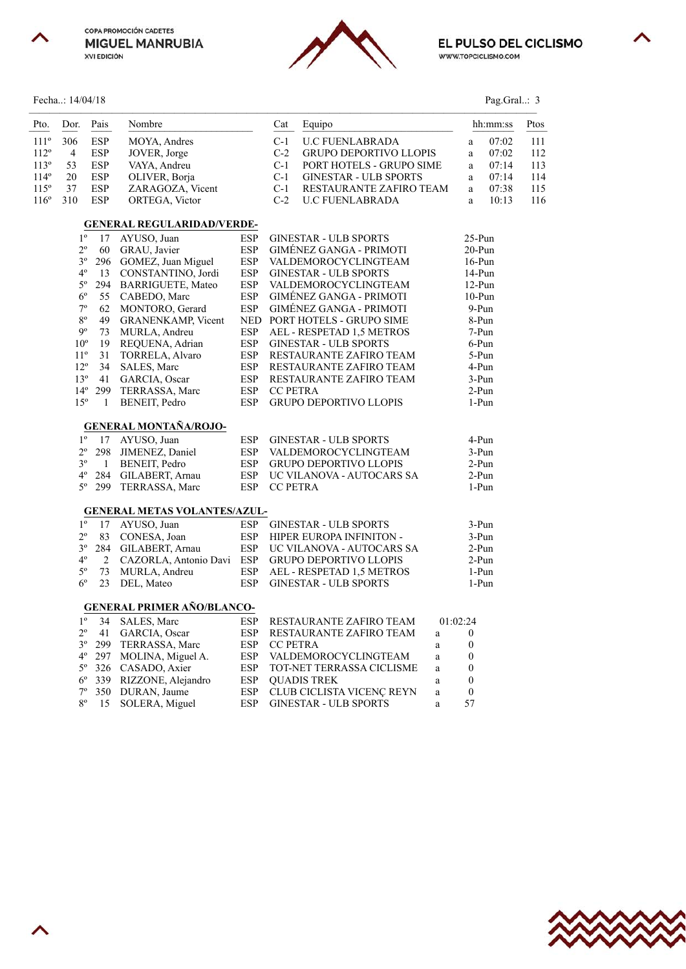





# Fecha..: 14/04/18 Pag.Gral..: 3

| Pto.          | Dor.           | Pais             | Nombre                              |            | Cat             | Equipo                         |              |                  | hh:mm:ss | Ptos |
|---------------|----------------|------------------|-------------------------------------|------------|-----------------|--------------------------------|--------------|------------------|----------|------|
| $111^{\circ}$ | 306            | ESP              | MOYA, Andres                        |            | $C-1$           | <b>U.C FUENLABRADA</b>         |              | $\rm{a}$         | 07:02    | 111  |
| $112^{\rm o}$ | $\overline{4}$ | <b>ESP</b>       | JOVER, Jorge                        |            | $C-2$           | <b>GRUPO DEPORTIVO LLOPIS</b>  |              | a                | 07:02    | 112  |
| $113^{\circ}$ | 53             | <b>ESP</b>       | VAYA, Andreu                        |            | $C-1$           | PORT HOTELS - GRUPO SIME       |              | a                | 07:14    | 113  |
| $114^{\circ}$ | 20             | <b>ESP</b>       | OLIVER, Borja                       |            | $C-1$           | <b>GINESTAR - ULB SPORTS</b>   |              | $\mathbf{a}$     | 07:14    | 114  |
| $115^\circ$   | 37             | ESP              | ZARAGOZA, Vicent                    |            | $C-1$           | RESTAURANTE ZAFIRO TEAM        |              | a                | 07:38    | 115  |
| $116^\circ$   | 310            | <b>ESP</b>       | ORTEGA, Victor                      |            | $C-2$           | <b>U.C FUENLABRADA</b>         |              | a                | 10:13    | 116  |
|               |                |                  | <b>GENERAL REGULARIDAD/VERDE-</b>   |            |                 |                                |              |                  |          |      |
|               | $1^{\circ}$    | 17               | AYUSO, Juan                         | <b>ESP</b> |                 | <b>GINESTAR - ULB SPORTS</b>   |              | $25-Pun$         |          |      |
|               | $2^{\circ}$    | 60               | GRAU, Javier                        | <b>ESP</b> |                 | GIMÉNEZ GANGA - PRIMOTI        |              | $20-Pun$         |          |      |
|               | $3^{\circ}$    | 296              | GOMEZ, Juan Miguel                  | <b>ESP</b> |                 | VALDEMOROCYCLINGTEAM           |              | $16-Pun$         |          |      |
|               | $4^{\circ}$    | 13               | CONSTANTINO, Jordi                  | <b>ESP</b> |                 | <b>GINESTAR - ULB SPORTS</b>   |              | 14-Pun           |          |      |
|               | $5^{\circ}$    | 294              | <b>BARRIGUETE, Mateo</b>            | <b>ESP</b> |                 | VALDEMOROCYCLINGTEAM           |              | $12-Pun$         |          |      |
|               | $6^{\circ}$    | 55               | CABEDO, Marc                        | <b>ESP</b> |                 | <b>GIMENEZ GANGA - PRIMOTI</b> |              | $10-Pun$         |          |      |
|               | $7^{\rm o}$    | 62               | MONTORO, Gerard                     | <b>ESP</b> |                 | <b>GIMÉNEZ GANGA - PRIMOTI</b> |              | 9-Pun            |          |      |
|               | $8^{\circ}$    | 49               | <b>GRANENKAMP, Vicent</b>           | <b>NED</b> |                 | PORT HOTELS - GRUPO SIME       |              | 8-Pun            |          |      |
|               | 90             | 73               | MURLA, Andreu                       | <b>ESP</b> |                 | AEL - RESPETAD 1,5 METROS      |              | 7-Pun            |          |      |
|               | $10^{\circ}$   | 19               | REQUENA, Adrian                     | <b>ESP</b> |                 | <b>GINESTAR - ULB SPORTS</b>   |              | 6-Pun            |          |      |
|               | $11^{\circ}$   | 31               | TORRELA, Alvaro                     | <b>ESP</b> |                 | RESTAURANTE ZAFIRO TEAM        |              | 5-Pun            |          |      |
|               | $12^{\circ}$   | 34               | SALES, Marc                         | <b>ESP</b> |                 | RESTAURANTE ZAFIRO TEAM        |              | 4-Pun            |          |      |
|               | $13^{\circ}$   |                  | 41 GARCIA, Oscar                    | <b>ESP</b> |                 | RESTAURANTE ZAFIRO TEAM        |              | 3-Pun            |          |      |
|               |                | $14^{\circ}$ 299 | TERRASSA, Marc                      | <b>ESP</b> | <b>CC PETRA</b> |                                |              | 2-Pun            |          |      |
|               | $15^{\circ}$   | $\mathbf{1}$     | BENEIT, Pedro                       | <b>ESP</b> |                 | GRUPO DEPORTIVO LLOPIS         |              | 1-Pun            |          |      |
|               |                |                  | <b>GENERAL MONTAÑA/ROJO-</b>        |            |                 |                                |              |                  |          |      |
|               | $1^{\circ}$    | 17               | AYUSO, Juan                         | <b>ESP</b> |                 | <b>GINESTAR - ULB SPORTS</b>   |              | 4-Pun            |          |      |
|               | $2^{\circ}$    | 298              | JIMENEZ, Daniel                     | <b>ESP</b> |                 | VALDEMOROCYCLINGTEAM           |              | 3-Pun            |          |      |
|               | 3 <sup>o</sup> | $\mathbf{1}$     | BENEIT, Pedro                       | <b>ESP</b> |                 | <b>GRUPO DEPORTIVO LLOPIS</b>  |              | $2-Pun$          |          |      |
|               | $4^{\circ}$    |                  | 284 GILABERT, Arnau                 | <b>ESP</b> |                 | UC VILANOVA - AUTOCARS SA      |              | $2-Pun$          |          |      |
|               | 5°             |                  | 299 TERRASSA, Marc                  | <b>ESP</b> | <b>CC PETRA</b> |                                |              | $1-Pun$          |          |      |
|               |                |                  | <b>GENERAL METAS VOLANTES/AZUL-</b> |            |                 |                                |              |                  |          |      |
|               | $1^{\circ}$    | 17               | AYUSO, Juan                         | <b>ESP</b> |                 | <b>GINESTAR - ULB SPORTS</b>   |              | 3-Pun            |          |      |
|               | $2^{\circ}$    | 83               | CONESA, Joan                        | <b>ESP</b> |                 | HIPER EUROPA INFINITON -       |              | 3-Pun            |          |      |
|               | $3^{\circ}$    |                  | 284 GILABERT, Arnau                 | <b>ESP</b> |                 | UC VILANOVA - AUTOCARS SA      |              | $2-Pun$          |          |      |
|               | $4^{\circ}$    | 2                | CAZORLA, Antonio Davi               | <b>ESP</b> |                 | <b>GRUPO DEPORTIVO LLOPIS</b>  |              | $2-Pun$          |          |      |
|               | $5^{\circ}$    | 73               | MURLA, Andreu                       | <b>ESP</b> |                 | AEL - RESPETAD 1,5 METROS      |              | 1-Pun            |          |      |
|               | $6^{\circ}$    | 23               | DEL, Mateo                          | <b>ESP</b> |                 | <b>GINESTAR - ULB SPORTS</b>   |              | 1-Pun            |          |      |
|               |                |                  | <b>GENERAL PRIMER AÑO/BLANCO-</b>   |            |                 |                                |              |                  |          |      |
|               | $1^{\circ}$    | 34               | SALES, Marc                         | <b>ESP</b> |                 | RESTAURANTE ZAFIRO TEAM        | 01:02:24     |                  |          |      |
|               | $2^{\circ}$    | 41               | GARCIA, Oscar                       | <b>ESP</b> |                 | RESTAURANTE ZAFIRO TEAM        | $\mathbf{a}$ | $\boldsymbol{0}$ |          |      |
|               | $3^{\circ}$    |                  | 299 TERRASSA, Marc                  | <b>ESP</b> | <b>CC PETRA</b> |                                | a            | 0                |          |      |
|               | $4^{\circ}$    |                  | 297 MOLINA, Miguel A.               | <b>ESP</b> |                 | VALDEMOROCYCLINGTEAM           | $\rm{a}$     | $\boldsymbol{0}$ |          |      |
|               | $5^{\circ}$    |                  | 326 CASADO, Axier                   | <b>ESP</b> |                 | TOT-NET TERRASSA CICLISME      | $\rm{a}$     | $\boldsymbol{0}$ |          |      |
|               | $6^{\circ}$    |                  | 339 RIZZONE, Alejandro              | <b>ESP</b> |                 | <b>QUADIS TREK</b>             | $\rm{a}$     | $\boldsymbol{0}$ |          |      |
|               | $7^{\circ}$    |                  | 350 DURAN, Jaume                    | <b>ESP</b> |                 | CLUB CICLISTA VICENÇ REYN      | $\rm{a}$     | $\boldsymbol{0}$ |          |      |
|               | $8^{\circ}$    | 15               | SOLERA, Miguel                      | <b>ESP</b> |                 | <b>GINESTAR - ULB SPORTS</b>   | a            | 57               |          |      |



ᄉ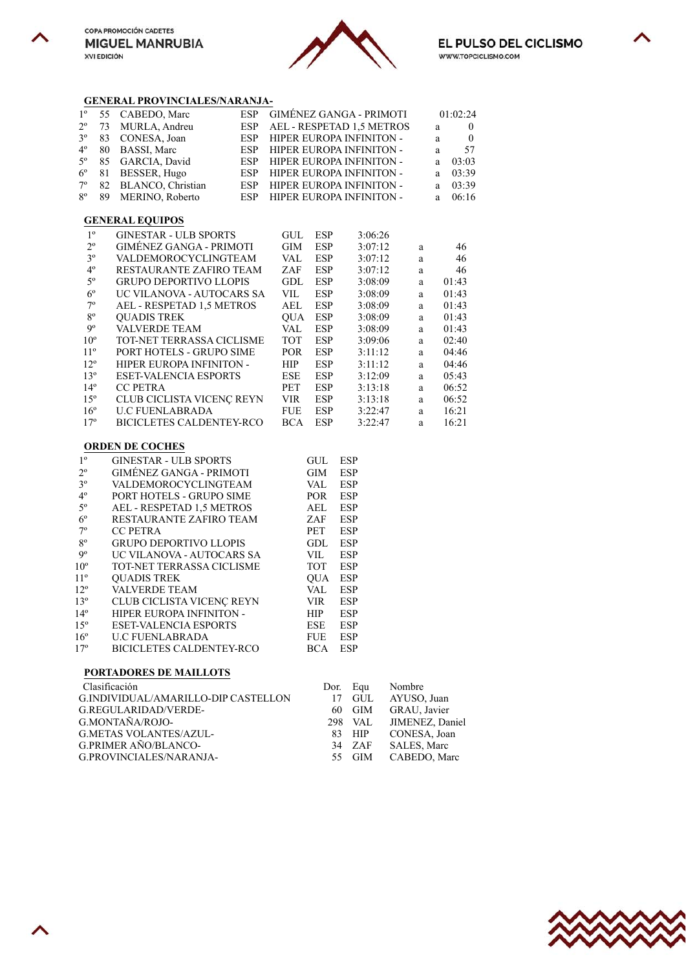





## **GENERAL PROVINCIALES/NARANJA-**

|                |    | OERERAL I ROTH CIALLE CARACTERI     |            |            |            |                                |              |              |              |
|----------------|----|-------------------------------------|------------|------------|------------|--------------------------------|--------------|--------------|--------------|
| $1^{\circ}$    | 55 | CABEDO, Marc                        | <b>ESP</b> |            |            | <b>GIMÉNEZ GANGA - PRIMOTI</b> |              |              | 01:02:24     |
| $2^{\circ}$    | 73 | MURLA, Andreu                       | <b>ESP</b> |            |            | AEL - RESPETAD 1,5 METROS      |              | $\rm{a}$     | $\mathbf{0}$ |
| $3^{\circ}$    | 83 | CONESA, Joan                        | ESP        |            |            | HIPER EUROPA INFINITON -       |              | a            | $\mathbf{0}$ |
| $4^{\circ}$    | 80 | BASSI, Marc                         | <b>ESP</b> |            |            | HIPER EUROPA INFINITON -       |              | a            | 57           |
| $5^{\circ}$    | 85 | GARCIA, David                       | <b>ESP</b> |            |            | HIPER EUROPA INFINITON -       |              | a            | 03:03        |
| $6^{\circ}$    | 81 | BESSER, Hugo                        | ESP        |            |            | HIPER EUROPA INFINITON -       |              | a            | 03:39        |
| 7°             | 82 | BLANCO, Christian                   | ESP        |            |            | HIPER EUROPA INFINITON -       |              | $\mathbf{a}$ | 03:39        |
| $8^{\circ}$    | 89 | MERINO, Roberto                     | <b>ESP</b> |            |            | HIPER EUROPA INFINITON -       |              | a            | 06:16        |
|                |    | <b>GENERAL EQUIPOS</b>              |            |            |            |                                |              |              |              |
| $1^{\circ}$    |    | <b>GINESTAR - ULB SPORTS</b>        |            | <b>GUL</b> | <b>ESP</b> | 3:06:26                        |              |              |              |
| $2^{\circ}$    |    | <b>GIMÉNEZ GANGA - PRIMOTI</b>      |            | GIM        | <b>ESP</b> | 3:07:12                        | a            |              | 46           |
| $3^{\circ}$    |    | VALDEMOROCYCLINGTEAM                |            | VAL        | <b>ESP</b> | 3:07:12                        | $\mathbf{a}$ |              | 46           |
| $4^{\circ}$    |    | RESTAURANTE ZAFIRO TEAM             |            | ZAF        | <b>ESP</b> | 3:07:12                        | a            |              | 46           |
| $5^{\circ}$    |    | <b>GRUPO DEPORTIVO LLOPIS</b>       |            | <b>GDL</b> | <b>ESP</b> | 3:08:09                        | $\mathbf{a}$ |              | 01:43        |
| $6^{\circ}$    |    | UC VILANOVA - AUTOCARS SA           |            | VIL        | <b>ESP</b> | 3:08:09                        | $\mathbf{a}$ |              | 01:43        |
| $7^{\circ}$    |    | AEL - RESPETAD 1,5 METROS           |            | AEL        | <b>ESP</b> | 3:08:09                        | a            |              | 01:43        |
| $8^{\circ}$    |    | <b>OUADIS TREK</b>                  |            | <b>OUA</b> | <b>ESP</b> | 3:08:09                        | $\mathbf{a}$ |              | 01:43        |
| 9°             |    | <b>VALVERDE TEAM</b>                |            | VAL        | <b>ESP</b> | 3:08:09                        | a            |              | 01:43        |
| $10^{\circ}$   |    | TOT-NET TERRASSA CICLISME           |            | <b>TOT</b> | <b>ESP</b> | 3:09:06                        | a            |              | 02:40        |
| $11^{\circ}$   |    | PORT HOTELS - GRUPO SIME            |            | <b>POR</b> | <b>ESP</b> | 3:11:12                        | $\mathbf{a}$ |              | 04:46        |
| $12^{\circ}$   |    | <b>HIPER EUROPA INFINITON -</b>     |            | HIP        | <b>ESP</b> | 3:11:12                        | a            |              | 04:46        |
| $13^{\circ}$   |    | <b>ESET-VALENCIA ESPORTS</b>        |            | ESE        | <b>ESP</b> | 3:12:09                        | $\mathbf{a}$ |              | 05:43        |
| $14^{\circ}$   |    | <b>CC PETRA</b>                     |            | PET        | <b>ESP</b> | 3:13:18                        | $\mathbf{a}$ |              | 06:52        |
| $15^{\circ}$   |    | CLUB CICLISTA VICENÇ REYN           |            | <b>VIR</b> | <b>ESP</b> | 3:13:18                        | a            |              | 06:52        |
| $16^{\circ}$   |    | <b>U.C FUENLABRADA</b>              |            | <b>FUE</b> | <b>ESP</b> | 3:22:47                        | $\rm{a}$     |              | 16:21        |
| $17^{\circ}$   |    | <b>BICICLETES CALDENTEY-RCO</b>     |            | <b>BCA</b> | <b>ESP</b> | 3:22:47                        | a            |              | 16:21        |
|                |    | <b>ORDEN DE COCHES</b>              |            |            |            |                                |              |              |              |
| 1 <sup>o</sup> |    | <b>GINESTAR - ULB SPORTS</b>        |            |            | GUL        | <b>ESP</b>                     |              |              |              |
| $2^{\circ}$    |    | <b>GIMÉNEZ GANGA - PRIMOTI</b>      |            |            | GIM        | ESP                            |              |              |              |
| $3^{\circ}$    |    | VALDEMOROCYCLINGTEAM                |            |            | VAL        | <b>ESP</b>                     |              |              |              |
| $4^{\circ}$    |    | PORT HOTELS - GRUPO SIME            |            |            | POR        | <b>ESP</b>                     |              |              |              |
| $5^{\circ}$    |    | AEL - RESPETAD 1,5 METROS           |            |            | AEL        | <b>ESP</b>                     |              |              |              |
| $6^{\circ}$    |    | RESTAURANTE ZAFIRO TEAM             |            |            | ZAF        | <b>ESP</b>                     |              |              |              |
| $7^{\circ}$    |    | <b>CC PETRA</b>                     |            |            | PET        | ESP                            |              |              |              |
| 80             |    | <b>GRUPO DEPORTIVO LLOPIS</b>       |            |            | GDL        | <b>ESP</b>                     |              |              |              |
| 9°             |    | UC VILANOVA - AUTOCARS SA           |            |            | <b>VIL</b> | <b>ESP</b>                     |              |              |              |
| $10^{\circ}$   |    | TOT-NET TERRASSA CICLISME           |            |            | <b>TOT</b> | <b>ESP</b>                     |              |              |              |
| $11^{\circ}$   |    | <b>QUADIS TREK</b>                  |            |            | <b>QUA</b> | <b>ESP</b>                     |              |              |              |
| $12^{\circ}$   |    | <b>VALVERDE TEAM</b>                |            |            | VAL        | <b>ESP</b>                     |              |              |              |
| $13^{\circ}$   |    | CLUB CICLISTA VICENÇ REYN           |            |            | <b>VIR</b> | <b>ESP</b>                     |              |              |              |
| $14^{\circ}$   |    | HIPER EUROPA INFINITON -            |            |            | <b>HIP</b> | <b>ESP</b>                     |              |              |              |
| $15^{\circ}$   |    | <b>ESET-VALENCIA ESPORTS</b>        |            |            | ESE        | <b>ESP</b>                     |              |              |              |
| $16^{\circ}$   |    | <b>U.C FUENLABRADA</b>              |            |            | <b>FUE</b> | ESP                            |              |              |              |
| $17^{\circ}$   |    | <b>BICICLETES CALDENTEY-RCO</b>     |            |            | <b>BCA</b> | <b>ESP</b>                     |              |              |              |
|                |    |                                     |            |            |            |                                |              |              |              |
|                |    | PORTADORES DE MAILLOTS              |            |            |            |                                |              |              |              |
|                |    | Clasificación                       |            |            | Dor.       | Nombre<br>Equ                  |              |              |              |
|                |    | G.INDIVIDUAL/AMARILLO-DIP CASTELLON |            |            | 17<br>GUL  | AYUSO, Juan                    |              |              |              |

| - UTANTHUAUN I                      |  | $D01$ , $L01$ $\alpha$ , $\beta$ |
|-------------------------------------|--|----------------------------------|
| G.INDIVIDUAL/AMARILLO-DIP CASTELLON |  | 17 GUL AYUSO, Juan               |
| G.REGULARIDAD/VERDE-                |  | 60 GIM GRAU, Javier              |
| G.MONTAÑA/ROJO-                     |  | 298 VAL JIMENEZ, Daniel          |
| <b>G.METAS VOLANTES/AZUL-</b>       |  | 83 HIP CONESA, Joan              |
| G.PRIMER AÑO/BLANCO-                |  | 34 ZAF SALES, Marc               |
| G.PROVINCIALES/NARANJA-             |  | 55 GIM CABEDO, Marc              |
|                                     |  |                                  |





 $\curvearrowright$